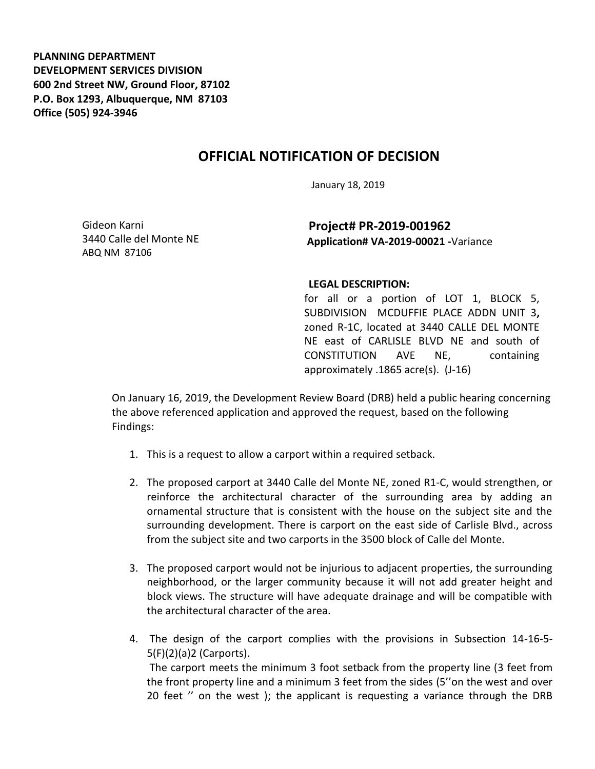**PLANNING DEPARTMENT DEVELOPMENT SERVICES DIVISION 600 2nd Street NW, Ground Floor, 87102 P.O. Box 1293, Albuquerque, NM 87103 Office (505) 924-3946** 

## **OFFICIAL NOTIFICATION OF DECISION**

January 18, 2019

Gideon Karni 3440 Calle del Monte NE ABQ NM 87106

**Project# PR-2019-001962 Application# VA-2019-00021 -**Variance

## **LEGAL DESCRIPTION:**

for all or a portion of LOT 1, BLOCK 5, SUBDIVISION MCDUFFIE PLACE ADDN UNIT 3**,**  zoned R-1C, located at 3440 CALLE DEL MONTE NE east of CARLISLE BLVD NE and south of CONSTITUTION AVE NE, containing approximately .1865 acre(s). (J-16)

On January 16, 2019, the Development Review Board (DRB) held a public hearing concerning the above referenced application and approved the request, based on the following Findings:

- 1. This is a request to allow a carport within a required setback.
- 2. The proposed carport at 3440 Calle del Monte NE, zoned R1-C, would strengthen, or reinforce the architectural character of the surrounding area by adding an ornamental structure that is consistent with the house on the subject site and the surrounding development. There is carport on the east side of Carlisle Blvd., across from the subject site and two carports in the 3500 block of Calle del Monte.
- 3. The proposed carport would not be injurious to adjacent properties, the surrounding neighborhood, or the larger community because it will not add greater height and block views. The structure will have adequate drainage and will be compatible with the architectural character of the area.
- 4. The design of the carport complies with the provisions in Subsection 14-16-5- 5(F)(2)(a)2 (Carports). The carport meets the minimum 3 foot setback from the property line (3 feet from the front property line and a minimum 3 feet from the sides (5''on the west and over 20 feet '' on the west ); the applicant is requesting a variance through the DRB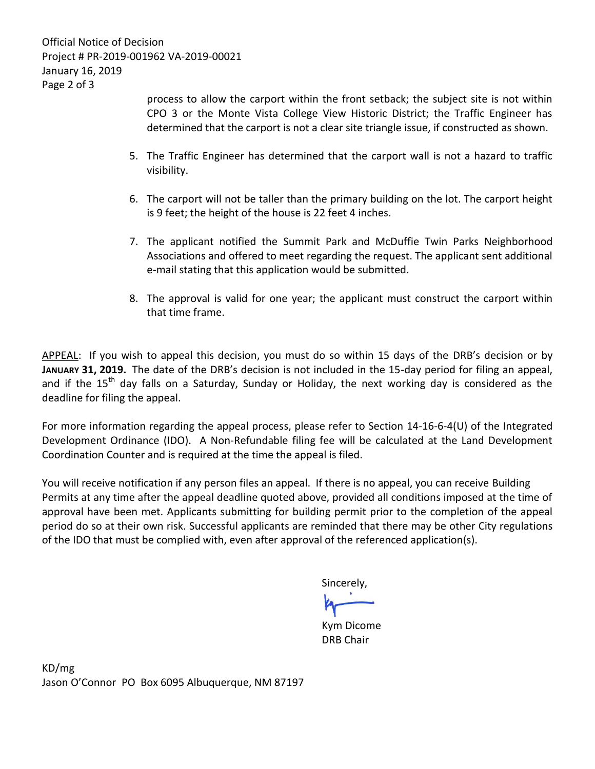process to allow the carport within the front setback; the subject site is not within CPO 3 or the Monte Vista College View Historic District; the Traffic Engineer has determined that the carport is not a clear site triangle issue, if constructed as shown.

- 5. The Traffic Engineer has determined that the carport wall is not a hazard to traffic visibility.
- 6. The carport will not be taller than the primary building on the lot. The carport height is 9 feet; the height of the house is 22 feet 4 inches.
- 7. The applicant notified the Summit Park and McDuffie Twin Parks Neighborhood Associations and offered to meet regarding the request. The applicant sent additional e-mail stating that this application would be submitted.
- 8. The approval is valid for one year; the applicant must construct the carport within that time frame.

APPEAL: If you wish to appeal this decision, you must do so within 15 days of the DRB's decision or by **JANUARY 31, 2019.** The date of the DRB's decision is not included in the 15-day period for filing an appeal, and if the  $15<sup>th</sup>$  day falls on a Saturday, Sunday or Holiday, the next working day is considered as the deadline for filing the appeal.

For more information regarding the appeal process, please refer to Section 14-16-6-4(U) of the Integrated Development Ordinance (IDO). A Non-Refundable filing fee will be calculated at the Land Development Coordination Counter and is required at the time the appeal is filed.

You will receive notification if any person files an appeal. If there is no appeal, you can receive Building Permits at any time after the appeal deadline quoted above, provided all conditions imposed at the time of approval have been met. Applicants submitting for building permit prior to the completion of the appeal period do so at their own risk. Successful applicants are reminded that there may be other City regulations of the IDO that must be complied with, even after approval of the referenced application(s).

Sincerely,

Kym Dicome DRB Chair

KD/mg Jason O'Connor PO Box 6095 Albuquerque, NM 87197